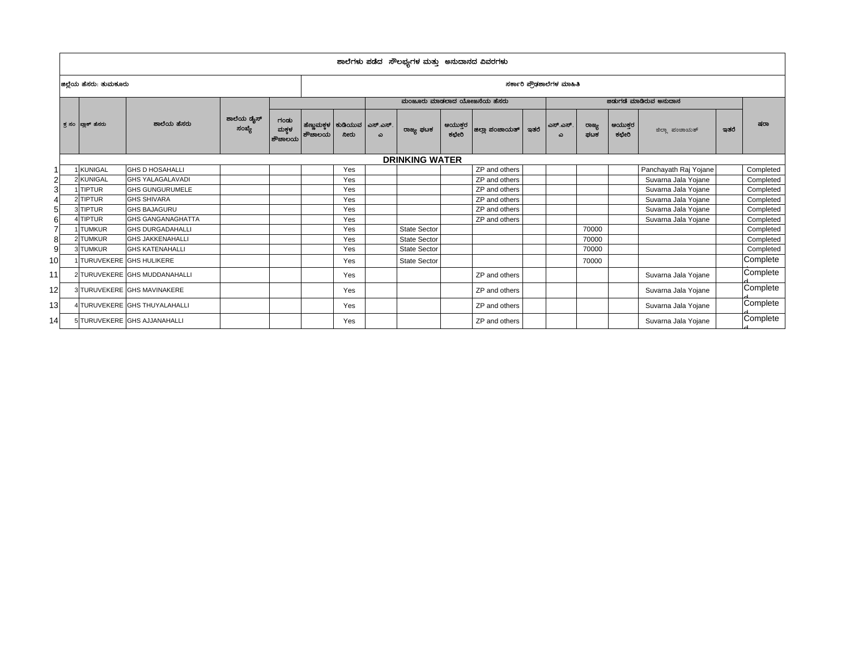|                 | ಶಾಲೆಗಳು ಪಡೆದ ಸೌಲಭ್ಯಗಳ ಮತ್ತು ಅನುದಾನದ ವಿವರಗಳು |                        |                               |                      |                          |        |                                          |          |                            |                  |                |      |               |              |                |                       |      |           |
|-----------------|---------------------------------------------|------------------------|-------------------------------|----------------------|--------------------------|--------|------------------------------------------|----------|----------------------------|------------------|----------------|------|---------------|--------------|----------------|-----------------------|------|-----------|
|                 |                                             | ಜಿಲ್ಲೆಯ ಹೆಸರು: ತುಮಕೂರು |                               |                      | ಸರ್ಕಾರಿ ಪೌಢಶಾಲೆಗಳ ಮಾಹಿತಿ |        |                                          |          |                            |                  |                |      |               |              |                |                       |      |           |
|                 |                                             |                        |                               |                      |                          |        |                                          |          | ಮಂಜೂರು ಮಾಡಲಾದ ಯೋಜನೆಯ ಹೆಸರು |                  |                |      |               |              |                |                       |      |           |
|                 |                                             | ಕ್ತ ಸಂ   ಖ್ಲಾಕ್ ಹೆಸರು  | ಶಾಲೆಯ ಹೆಸರು                   | ಶಾಲೆಯ ಡೈಸ್<br>ಸಂಖ್ಯೆ | ಗಂಡು<br>ಮಕ್ಗಳ<br>ಶೌಚಾಲಯ  | ಶೌಚಾಲಯ | ಹೆಣ್ಣುಮಕ್ಕಳ   ಕುಡಿಯುವ   ಎಸ್.ಎಸ್.<br>ನೀರು | $\omega$ | ರಾಜ್ಯ ಫಟಕ                  | ಆಯುಕ್ತರ<br>ಕಛೇರಿ | ಜಿಲ್ಲಾ ಪಂಚಾಯತ್ | ಇತರೆ | ಎಸ್.ಎಸ್.<br>ω | ರಾಜ್ಯ<br>ಪಟಕ | ಆಯುಕರ<br>ಕಛೇರಿ | ಜಿಲ್ಲಾ ಪಂಚಾಯತ್        | ಇತರೆ | ಷರಾ       |
|                 |                                             |                        |                               |                      |                          |        |                                          |          | <b>DRINKING WATER</b>      |                  |                |      |               |              |                |                       |      |           |
|                 |                                             | <b>KUNIGAL</b>         | <b>GHS D HOSAHALLI</b>        |                      |                          |        | Yes                                      |          |                            |                  | ZP and others  |      |               |              |                | Panchayath Raj Yojane |      | Completed |
|                 |                                             | 2 KUNIGAL              | <b>GHS YALAGALAVADI</b>       |                      |                          |        | Yes                                      |          |                            |                  | ZP and others  |      |               |              |                | Suvarna Jala Yojane   |      | Completed |
|                 |                                             | <b>TIPTUR</b>          | <b>GHS GUNGURUMELE</b>        |                      |                          |        | Yes                                      |          |                            |                  | ZP and others  |      |               |              |                | Suvarna Jala Yojane   |      | Completed |
|                 |                                             | 2 TIPTUR               | <b>GHS SHIVARA</b>            |                      |                          |        | Yes                                      |          |                            |                  | ZP and others  |      |               |              |                | Suvarna Jala Yojane   |      | Completed |
|                 |                                             | 3 TIPTUR               | <b>GHS BAJAGURU</b>           |                      |                          |        | Yes                                      |          |                            |                  | ZP and others  |      |               |              |                | Suvarna Jala Yojane   |      | Completed |
|                 |                                             | <b>TIPTUR</b>          | <b>GHS GANGANAGHATTA</b>      |                      |                          |        | Yes                                      |          |                            |                  | ZP and others  |      |               |              |                | Suvarna Jala Yojane   |      | Completed |
|                 |                                             | <b>TUMKUR</b>          | <b>GHS DURGADAHALLI</b>       |                      |                          |        | Yes                                      |          | State Sector               |                  |                |      |               | 70000        |                |                       |      | Completed |
|                 |                                             | 2 TUMKUR               | <b>GHS JAKKENAHALLI</b>       |                      |                          |        | Yes                                      |          | <b>State Sector</b>        |                  |                |      |               | 70000        |                |                       |      | Completed |
|                 |                                             | 3 TUMKUR               | <b>GHS KATENAHALLI</b>        |                      |                          |        | Yes                                      |          | <b>State Sector</b>        |                  |                |      |               | 70000        |                |                       |      | Completed |
| 10 <sup>1</sup> |                                             |                        | TURUVEKERE GHS HULIKERE       |                      |                          |        | Yes                                      |          | <b>State Sector</b>        |                  |                |      |               | 70000        |                |                       |      | Complete  |
| 11              |                                             |                        | 2 TURUVEKERE GHS MUDDANAHALLI |                      |                          |        | Yes                                      |          |                            |                  | ZP and others  |      |               |              |                | Suvarna Jala Yojane   |      | Complete  |
| 12              |                                             |                        | 3 TURUVEKERE GHS MAVINAKERE   |                      |                          |        | Yes                                      |          |                            |                  | ZP and others  |      |               |              |                | Suvarna Jala Yojane   |      | Complete  |
| 13 <sup>l</sup> |                                             |                        | 4 TURUVEKERE GHS THUYALAHALLI |                      |                          |        | Yes                                      |          |                            |                  | ZP and others  |      |               |              |                | Suvarna Jala Yojane   |      | Complete  |
| 14              |                                             |                        | 5 TURUVEKERE GHS AJJANAHALLI  |                      |                          |        | Yes                                      |          |                            |                  | ZP and others  |      |               |              |                | Suvarna Jala Yojane   |      | Complete  |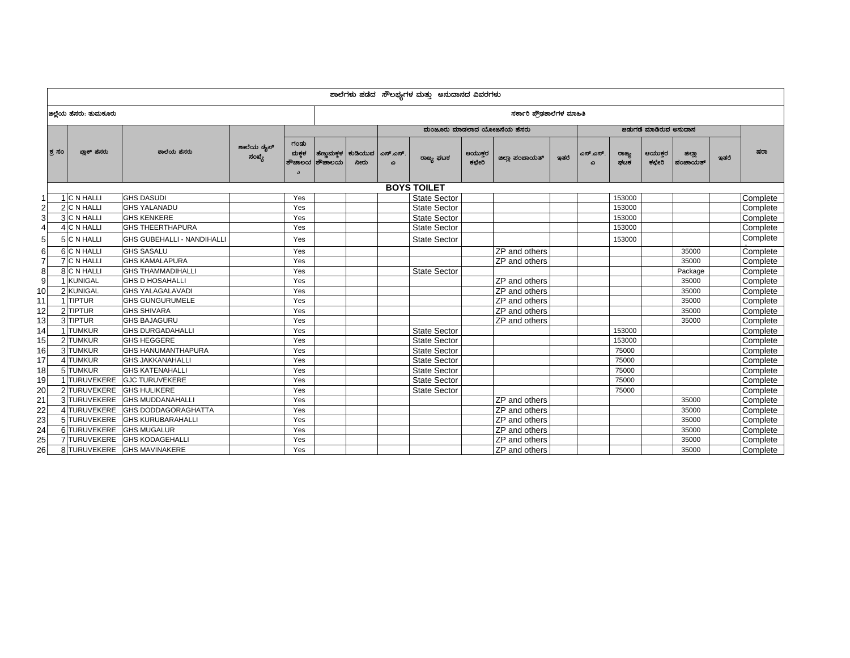|                | ಶಾಲೆಗಳು ಪಡೆದ ಸೌಲಭ್ಯಗಳ ಮತ್ತು ಅನುದಾನದ ವಿವರಗಳು |                                   |                      |                               |                         |                                                      |                            |                     |                  |                |      |          |              |                |                   |      |          |  |  |  |
|----------------|---------------------------------------------|-----------------------------------|----------------------|-------------------------------|-------------------------|------------------------------------------------------|----------------------------|---------------------|------------------|----------------|------|----------|--------------|----------------|-------------------|------|----------|--|--|--|
|                | ಜಿಲ್ಲೆಯ ಹೆಸರು: ತುಮಕೂರು                      |                                   |                      |                               |                         |                                                      | ಸರ್ಕಾರಿ ಪ್ರೌಢಶಾಲೆಗಳ ಮಾಹಿತಿ |                     |                  |                |      |          |              |                |                   |      |          |  |  |  |
|                |                                             |                                   |                      |                               |                         | ಮಂಜೂರು ಮಾಡಲಾದ ಯೋಜನೆಯ ಹೆಸರು<br>ಜಿಡುಗಡೆ ಮಾಡಿರುವ ಅನುದಾನ |                            |                     |                  |                |      |          |              |                |                   |      |          |  |  |  |
|                | ಬ್ಲಾಕ್ ಹೆಸರು<br>ಕ್ತ ಸಂ                      | ಶಾಲೆಯ ಹೆಸರು                       | ಶಾಲೆಯ ಡೈಸ್<br>ಸಂಖ್ಯೆ | ಗಂಡು<br>ಮಕಳ<br>ಶೌಚಾಲಯ  <br>C. | ಹೆಣ್ಣುಮಕ್ತಳ  <br>ಶೌಚಾಲಯ | ಕುಡಿಯುವ<br>ನೀರು                                      | ಎಸ್.ಎಸ್<br>ω               | ರಾಜ್ಯ ಫಟಕ           | ಆಯುಕ್ತರ<br>ಕಛೇರಿ | ಜಿಲ್ಲಾ ಪಂಚಾಯತ್ | ಇತರೆ | ಎಸ್.ಎಸ್. | ರಾಜ್ಯ<br>ಘಟಕ | ಆಯುಕರ<br>ಕಛೇರಿ | ಜಿಲ್ಲಾ<br>ಪಂಚಾಯತ್ | ಇತರೆ | ಷರಾ      |  |  |  |
|                | <b>BOYS TOILET</b>                          |                                   |                      |                               |                         |                                                      |                            |                     |                  |                |      |          |              |                |                   |      |          |  |  |  |
| 1              | C N HALLI                                   | <b>GHS DASUDI</b>                 |                      | Yes                           |                         |                                                      |                            | <b>State Sector</b> |                  |                |      |          | 153000       |                |                   |      | Complete |  |  |  |
| 2              | 2 C N HALLI                                 | <b>GHS YALANADU</b>               |                      | Yes                           |                         |                                                      |                            | <b>State Sector</b> |                  |                |      |          | 153000       |                |                   |      | Complete |  |  |  |
| 3              | 3 C N HALLI                                 | <b>GHS KENKERE</b>                |                      | Yes                           |                         |                                                      |                            | <b>State Sector</b> |                  |                |      |          | 153000       |                |                   |      | Complete |  |  |  |
| $\overline{4}$ | C N HALLI<br>Δ                              | <b>GHS THEERTHAPURA</b>           |                      | Yes                           |                         |                                                      |                            | <b>State Sector</b> |                  |                |      |          | 153000       |                |                   |      | Complete |  |  |  |
| 5 <sub>l</sub> | 5 C N HALLI                                 | <b>GHS GUBEHALLI - NANDIHALLI</b> |                      | Yes                           |                         |                                                      |                            | <b>State Sector</b> |                  |                |      |          | 153000       |                |                   |      | Complete |  |  |  |
| 6              | 6 C N HALLI                                 | <b>GHS SASALU</b>                 |                      | Yes                           |                         |                                                      |                            |                     |                  | ZP and others  |      |          |              |                | 35000             |      | Complete |  |  |  |
| $\overline{7}$ | <b>C N HALLI</b>                            | <b>GHS KAMALAPURA</b>             |                      | Yes                           |                         |                                                      |                            |                     |                  | ZP and others  |      |          |              |                | 35000             |      | Complete |  |  |  |
| 8              | 8 C N HALLI                                 | <b>GHS THAMMADIHALLI</b>          |                      | Yes                           |                         |                                                      |                            | <b>State Sector</b> |                  |                |      |          |              |                | Package           |      | Complete |  |  |  |
| $\overline{9}$ | <b>KUNIGAL</b>                              | <b>GHS D HOSAHALLI</b>            |                      | Yes                           |                         |                                                      |                            |                     |                  | ZP and others  |      |          |              |                | 35000             |      | Complete |  |  |  |
| 10             | 2 KUNIGAL                                   | <b>GHS YALAGALAVADI</b>           |                      | Yes                           |                         |                                                      |                            |                     |                  | ZP and others  |      |          |              |                | 35000             |      | Complete |  |  |  |
| 11             | 1 TIPTUR                                    | <b>GHS GUNGURUMELE</b>            |                      | Yes                           |                         |                                                      |                            |                     |                  | ZP and others  |      |          |              |                | 35000             |      | Complete |  |  |  |
| 12             | 2TIPTUR                                     | <b>GHS SHIVARA</b>                |                      | Yes                           |                         |                                                      |                            |                     |                  | ZP and others  |      |          |              |                | 35000             |      | Complete |  |  |  |
| 13             | 3TIPTUR                                     | <b>GHS BAJAGURU</b>               |                      | Yes                           |                         |                                                      |                            |                     |                  | ZP and others  |      |          |              |                | 35000             |      | Complete |  |  |  |
| 14             | <b>TUMKUR</b>                               | <b>GHS DURGADAHALLI</b>           |                      | Yes                           |                         |                                                      |                            | <b>State Sector</b> |                  |                |      |          | 153000       |                |                   |      | Complete |  |  |  |
| 15             | 2 TUMKUR                                    | <b>GHS HEGGERE</b>                |                      | Yes                           |                         |                                                      |                            | <b>State Sector</b> |                  |                |      |          | 153000       |                |                   |      | Complete |  |  |  |
| 16             | 3 TUMKUR                                    | <b>GHS HANUMANTHAPURA</b>         |                      | Yes                           |                         |                                                      |                            | <b>State Sector</b> |                  |                |      |          | 75000        |                |                   |      | Complete |  |  |  |
| 17             | 4 TUMKUR                                    | <b>GHS JAKKANAHALLI</b>           |                      | Yes                           |                         |                                                      |                            | State Sector        |                  |                |      |          | 75000        |                |                   |      | Complete |  |  |  |
| 18             | 5TUMKUR                                     | <b>GHS KATENAHALLI</b>            |                      | Yes                           |                         |                                                      |                            | <b>State Sector</b> |                  |                |      |          | 75000        |                |                   |      | Complete |  |  |  |
| 19             | 1TURUVEKERE                                 | <b>GJC TURUVEKERE</b>             |                      | Yes                           |                         |                                                      |                            | <b>State Sector</b> |                  |                |      |          | 75000        |                |                   |      | Complete |  |  |  |
| 20             | 2 TURUVEKERE                                | <b>GHS HULIKERE</b>               |                      | Yes                           |                         |                                                      |                            | <b>State Sector</b> |                  |                |      |          | 75000        |                |                   |      | Complete |  |  |  |
| 21             | 3 TURUVEKERE                                | <b>GHS MUDDANAHALLI</b>           |                      | Yes                           |                         |                                                      |                            |                     |                  | ZP and others  |      |          |              |                | 35000             |      | Complete |  |  |  |
| 22             | 4 TURUVEKERE                                | GHS DODDAGORAGHATTA               |                      | Yes                           |                         |                                                      |                            |                     |                  | ZP and others  |      |          |              |                | 35000             |      | Complete |  |  |  |
| 23             | 5 TURUVEKERE                                | <b>GHS KURUBARAHALLI</b>          |                      | Yes                           |                         |                                                      |                            |                     |                  | ZP and others  |      |          |              |                | 35000             |      | Complete |  |  |  |
| 24             | 6 TURUVEKERE                                | <b>GHS MUGALUR</b>                |                      | Yes                           |                         |                                                      |                            |                     |                  | ZP and others  |      |          |              |                | 35000             |      | Complete |  |  |  |
| 25             | 7 TURUVEKERE                                | <b>GHS KODAGEHALLI</b>            |                      | Yes                           |                         |                                                      |                            |                     |                  | ZP and others  |      |          |              |                | 35000             |      | Complete |  |  |  |
| 26             | 8 TURUVEKERE                                | <b>GHS MAVINAKERE</b>             |                      | Yes                           |                         |                                                      |                            |                     |                  | ZP and others  |      |          |              |                | 35000             |      | Complete |  |  |  |